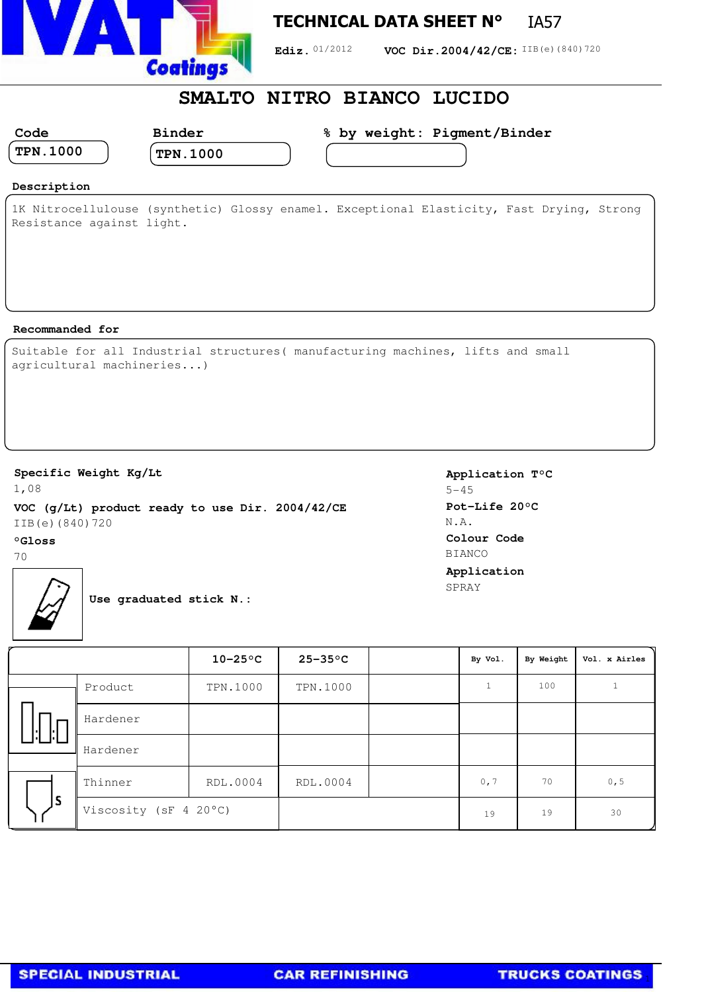

## **TECHNICAL DATA SHEET N°** IA57

Ediz. 01/2012 **VOC Dir.2004/42/CE:** IIB(e)(840)720

## **SMALTO NITRO BIANCO LUCIDO**

| Code                 | <b>Binder</b>   | % by weight: Pigment/Binder |  |
|----------------------|-----------------|-----------------------------|--|
| $^{\prime}$ TPN.1000 | <b>TPN.1000</b> |                             |  |
|                      |                 |                             |  |

### **Description**

1K Nitrocellulouse (synthetic) Glossy enamel. Exceptional Elasticity, Fast Drying, Strong Resistance against light.

#### **Recommanded for**

|  |                           | Suitable for all Industrial structures (manufacturing machines, lifts and small |  |  |
|--|---------------------------|---------------------------------------------------------------------------------|--|--|
|  | agricultural machineries) |                                                                                 |  |  |

#### **Specific Weight Kg/Lt**

1,08 **VOC (g/Lt) product ready to use Dir. 2004/42/CE** IIB(e)(840)720

#### **°Gloss**

70



**Use graduated stick N.:**

|    |                       | $10-25$ °C | $25 - 35$ °C | By Vol. | By Weight | Vol. x Airles |
|----|-----------------------|------------|--------------|---------|-----------|---------------|
| ы  | Product               | TPN.1000   | TPN.1000     |         | 100       |               |
|    | Hardener              |            |              |         |           |               |
|    | Hardener              |            |              |         |           |               |
| ls | Thinner               | RDL.0004   | RDL.0004     | 0, 7    | 70        | 0, 5          |
|    | Viscosity (sF 4 20°C) |            |              | 19      | 19        | 30            |